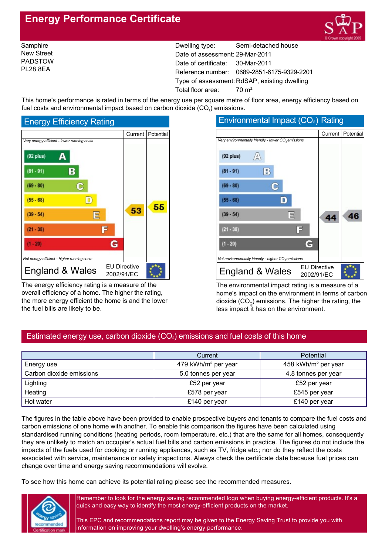# **Energy Performance Certificate**



**Samphire** New Street PADSTOW PL28 8EA

Dwelling type: Semi-detached house Date of assessment: 29-Mar-2011 Date of certificate: 30-Mar-2011 Reference number: 0689-2851-6175-9329-2201 Type of assessment: RdSAP, existing dwelling Total floor area: 70 m<sup>2</sup>

This home's performance is rated in terms of the energy use per square metre of floor area, energy efficiency based on fuel costs and environmental impact based on carbon dioxide  $(CO<sub>2</sub>)$  emissions.



The energy efficiency rating is a measure of the overall efficiency of a home. The higher the rating, the more energy efficient the home is and the lower the fuel bills are likely to be.

#### Environmental Impact (CO<sub>2</sub>) Rating Current | Potential *Very environmentally friendly lower CO<sup>²</sup> emissions*  $(92$  plus) A  $\mathbb{B}$  $(81 - 91)$  $(69 - 80)$ C  $(55 - 68)$ ה  $\equiv$  $(39 - 54)$ 46 44 Ξ  $(21 - 38)$  $(1 - 20)$ G *Not environmentally friendly higher CO<sup>²</sup> emissions* England & Wales  $\frac{EU \text{ Directive}}{2002/01/E}$ 2002/91/EC

The environmental impact rating is a measure of a home's impact on the environment in terms of carbon dioxide  $(CO<sub>2</sub>)$  emissions. The higher the rating, the less impact it has on the environment.

## Estimated energy use, carbon dioxide  $(CO<sub>2</sub>)$  emissions and fuel costs of this home

|                          | Current                         | Potential                       |
|--------------------------|---------------------------------|---------------------------------|
| Energy use               | 479 kWh/m <sup>2</sup> per year | 458 kWh/m <sup>2</sup> per year |
| Carbon dioxide emissions | 5.0 tonnes per year             | 4.8 tonnes per year             |
| Lighting                 | £52 per year                    | £52 per year                    |
| Heating                  | £578 per year                   | £545 per year                   |
| Hot water                | £140 per year                   | £140 per year                   |

The figures in the table above have been provided to enable prospective buyers and tenants to compare the fuel costs and carbon emissions of one home with another. To enable this comparison the figures have been calculated using standardised running conditions (heating periods, room temperature, etc.) that are the same for all homes, consequently they are unlikely to match an occupier's actual fuel bills and carbon emissions in practice. The figures do not include the impacts of the fuels used for cooking or running appliances, such as TV, fridge etc.; nor do they reflect the costs associated with service, maintenance or safety inspections. Always check the certificate date because fuel prices can change over time and energy saving recommendations will evolve.

To see how this home can achieve its potential rating please see the recommended measures.



Remember to look for the energy saving recommended logo when buying energy-efficient products. It's a quick and easy way to identify the most energy-efficient products on the market.

This EPC and recommendations report may be given to the Energy Saving Trust to provide you with information on improving your dwelling's energy performance.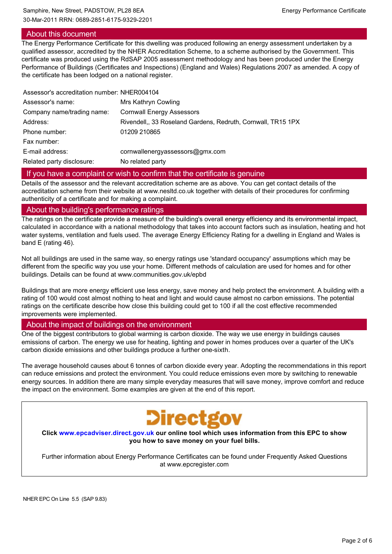#### About this document

The Energy Performance Certificate for this dwelling was produced following an energy assessment undertaken by a qualified assessor, accredited by the NHER Accreditation Scheme, to a scheme authorised by the Government. This certificate was produced using the RdSAP 2005 assessment methodology and has been produced under the Energy Performance of Buildings (Certificates and Inspections) (England and Wales) Regulations 2007 as amended. A copy of the certificate has been lodged on a national register.

| Assessor's accreditation number: NHER004104 |                                                             |
|---------------------------------------------|-------------------------------------------------------------|
| Assessor's name:                            | Mrs Kathryn Cowling                                         |
| Company name/trading name:                  | <b>Cornwall Energy Assessors</b>                            |
| Address:                                    | Rivendell, 33 Roseland Gardens, Redruth, Cornwall, TR15 1PX |
| Phone number:                               | 01209 210865                                                |
| Fax number:                                 |                                                             |
| E-mail address:                             | cornwallenergyassessors@gmx.com                             |
| Related party disclosure:                   | No related party                                            |
|                                             |                                                             |

#### If you have a complaint or wish to confirm that the certificate is genuine

Details of the assessor and the relevant accreditation scheme are as above. You can get contact details of the accreditation scheme from their website at www.nesltd.co.uk together with details of their procedures for confirming authenticity of a certificate and for making a complaint.

#### About the building's performance ratings

The ratings on the certificate provide a measure of the building's overall energy efficiency and its environmental impact, calculated in accordance with a national methodology that takes into account factors such as insulation, heating and hot water systems, ventilation and fuels used. The average Energy Efficiency Rating for a dwelling in England and Wales is band E (rating 46).

Not all buildings are used in the same way, so energy ratings use 'standard occupancy' assumptions which may be different from the specific way you use your home. Different methods of calculation are used for homes and for other buildings. Details can be found at www.communities.gov.uk/epbd

Buildings that are more energy efficient use less energy, save money and help protect the environment. A building with a rating of 100 would cost almost nothing to heat and light and would cause almost no carbon emissions. The potential ratings on the certificate describe how close this building could get to 100 if all the cost effective recommended improvements were implemented.

#### About the impact of buildings on the environment

One of the biggest contributors to global warming is carbon dioxide. The way we use energy in buildings causes emissions of carbon. The energy we use for heating, lighting and power in homes produces over a quarter of the UK's carbon dioxide emissions and other buildings produce a further onesixth.

The average household causes about 6 tonnes of carbon dioxide every year. Adopting the recommendations in this report can reduce emissions and protect the environment. You could reduce emissions even more by switching to renewable energy sources. In addition there are many simple everyday measures that will save money, improve comfort and reduce the impact on the environment. Some examples are given at the end of this report.

**Click www.epcadviser.direct.gov.uk our online tool which uses information from this EPC to show you how to save money on your fuel bills.**

Further information about Energy Performance Certificates can be found under Frequently Asked Questions at www.epcregister.com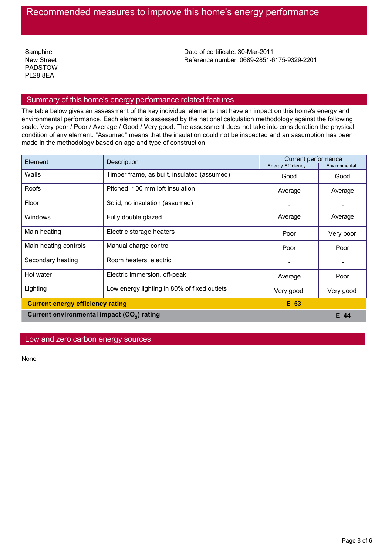**Samphire** New Street PADSTOW PL28 8EA

Date of certificate: 30-Mar-2011 Reference number: 0689-2851-6175-9329-2201

#### Summary of this home's energy performance related features

The table below gives an assessment of the key individual elements that have an impact on this home's energy and environmental performance. Each element is assessed by the national calculation methodology against the following scale: Very poor / Poor / Average / Good / Very good. The assessment does not take into consideration the physical condition of any element. "Assumed" means that the insulation could not be inspected and an assumption has been made in the methodology based on age and type of construction.

| Element                                                | Description                                 | Current performance      |               |
|--------------------------------------------------------|---------------------------------------------|--------------------------|---------------|
|                                                        |                                             | <b>Energy Efficiency</b> | Environmental |
| Walls                                                  | Timber frame, as built, insulated (assumed) | Good                     | Good          |
| Roofs                                                  | Pitched, 100 mm loft insulation             | Average                  | Average       |
| Floor                                                  | Solid, no insulation (assumed)              |                          |               |
| Windows                                                | Fully double glazed                         | Average                  | Average       |
| Main heating                                           | Electric storage heaters                    | Poor                     | Very poor     |
| Main heating controls                                  | Manual charge control                       | Poor                     | Poor          |
| Secondary heating                                      | Room heaters, electric                      |                          |               |
| Hot water                                              | Electric immersion, off-peak                | Average                  | Poor          |
| Lighting                                               | Low energy lighting in 80% of fixed outlets | Very good                | Very good     |
| <b>Current energy efficiency rating</b>                |                                             | E 53                     |               |
| Current environmental impact (CO <sub>2</sub> ) rating |                                             |                          | E 44          |

#### Low and zero carbon energy sources

None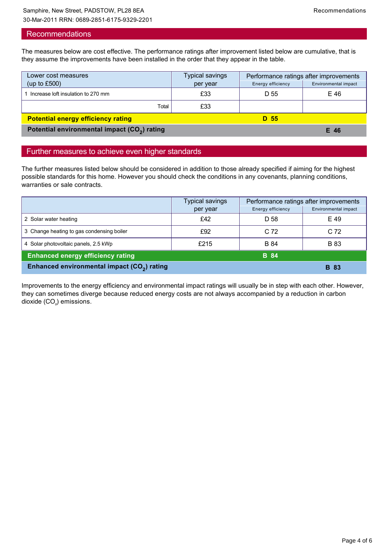#### **Recommendations**

The measures below are cost effective. The performance ratings after improvement listed below are cumulative, that is they assume the improvements have been installed in the order that they appear in the table.

| Lower cost measures                                      | Typical savings | Performance ratings after improvements |                      |
|----------------------------------------------------------|-----------------|----------------------------------------|----------------------|
| (up to $£500$ )                                          | per year        | Energy efficiency                      | Environmental impact |
| Increase loft insulation to 270 mm                       | £33             | D 55                                   | E 46                 |
| Total                                                    | £33             |                                        |                      |
| <b>Potential energy efficiency rating</b><br>D 55        |                 |                                        |                      |
| Potential environmental impact (CO <sub>2</sub> ) rating |                 |                                        | E 46                 |

#### Further measures to achieve even higher standards

The further measures listed below should be considered in addition to those already specified if aiming for the highest possible standards for this home. However you should check the conditions in any covenants, planning conditions, warranties or sale contracts.

| <b>Typical savings</b>                                  |          |                   | Performance ratings after improvements |
|---------------------------------------------------------|----------|-------------------|----------------------------------------|
|                                                         | per year | Energy efficiency | Environmental impact                   |
| 2 Solar water heating                                   | £42      | D 58              | E 49                                   |
| 3 Change heating to gas condensing boiler               | £92      | C <sub>72</sub>   | C <sub>72</sub>                        |
| 4 Solar photovoltaic panels, 2.5 kWp                    | £215     | B 84              | <b>B</b> 83                            |
| <b>Enhanced energy efficiency rating</b>                |          | <b>B</b> 84       |                                        |
| Enhanced environmental impact (CO <sub>2</sub> ) rating |          |                   | <b>B</b> 83                            |

Improvements to the energy efficiency and environmental impact ratings will usually be in step with each other. However, they can sometimes diverge because reduced energy costs are not always accompanied by a reduction in carbon dioxide  $(CO_2)$  emissions.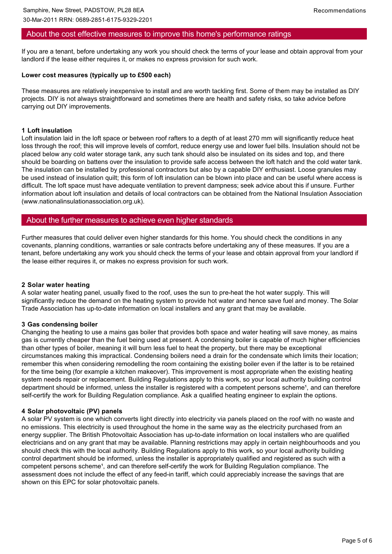#### About the cost effective measures to improve this home's performance ratings

If you are a tenant, before undertaking any work you should check the terms of your lease and obtain approval from your landlord if the lease either requires it, or makes no express provision for such work.

#### **Lower cost measures (typically up to £500 each)**

These measures are relatively inexpensive to install and are worth tackling first. Some of them may be installed as DIY projects. DIY is not always straightforward and sometimes there are health and safety risks, so take advice before carrying out DIY improvements.

#### **1 Loft insulation**

Loft insulation laid in the loft space or between roof rafters to a depth of at least 270 mm will significantly reduce heat loss through the roof; this will improve levels of comfort, reduce energy use and lower fuel bills. Insulation should not be placed below any cold water storage tank, any such tank should also be insulated on its sides and top, and there should be boarding on battens over the insulation to provide safe access between the loft hatch and the cold water tank. The insulation can be installed by professional contractors but also by a capable DIY enthusiast. Loose granules may be used instead of insulation quilt; this form of loft insulation can be blown into place and can be useful where access is difficult. The loft space must have adequate ventilation to prevent dampness; seek advice about this if unsure. Further information about loft insulation and details of local contractors can be obtained from the National Insulation Association (www.nationalinsulationassociation.org.uk).

#### About the further measures to achieve even higher standards

Further measures that could deliver even higher standards for this home. You should check the conditions in any covenants, planning conditions, warranties or sale contracts before undertaking any of these measures. If you are a tenant, before undertaking any work you should check the terms of your lease and obtain approval from your landlord if the lease either requires it, or makes no express provision for such work.

#### **2 Solar water heating**

A solar water heating panel, usually fixed to the roof, uses the sun to preheat the hot water supply. This will significantly reduce the demand on the heating system to provide hot water and hence save fuel and money. The Solar Trade Association has up-to-date information on local installers and any grant that may be available.

#### **3 Gas condensing boiler**

Changing the heating to use a mains gas boiler that provides both space and water heating will save money, as mains gas is currently cheaper than the fuel being used at present. A condensing boiler is capable of much higher efficiencies than other types of boiler, meaning it will burn less fuel to heat the property, but there may be exceptional circumstances making this impractical. Condensing boilers need a drain for the condensate which limits their location; remember this when considering remodelling the room containing the existing boiler even if the latter is to be retained for the time being (for example a kitchen makeover). This improvement is most appropriate when the existing heating system needs repair or replacement. Building Regulations apply to this work, so your local authority building control department should be informed, unless the installer is registered with a competent persons scheme<sup>1</sup>, and can therefore self-certify the work for Building Regulation compliance. Ask a qualified heating engineer to explain the options.

#### **4 Solar photovoltaic (PV) panels**

A solar PV system is one which converts light directly into electricity via panels placed on the roof with no waste and no emissions. This electricity is used throughout the home in the same way as the electricity purchased from an energy supplier. The British Photovoltaic Association has up-to-date information on local installers who are qualified electricians and on any grant that may be available. Planning restrictions may apply in certain neighbourhoods and you should check this with the local authority. Building Regulations apply to this work, so your local authority building control department should be informed, unless the installer is appropriately qualified and registered as such with a competent persons scheme<sup>1</sup>, and can therefore self-certify the work for Building Regulation compliance. The assessment does not include the effect of any feed-in tariff, which could appreciably increase the savings that are shown on this EPC for solar photovoltaic panels.